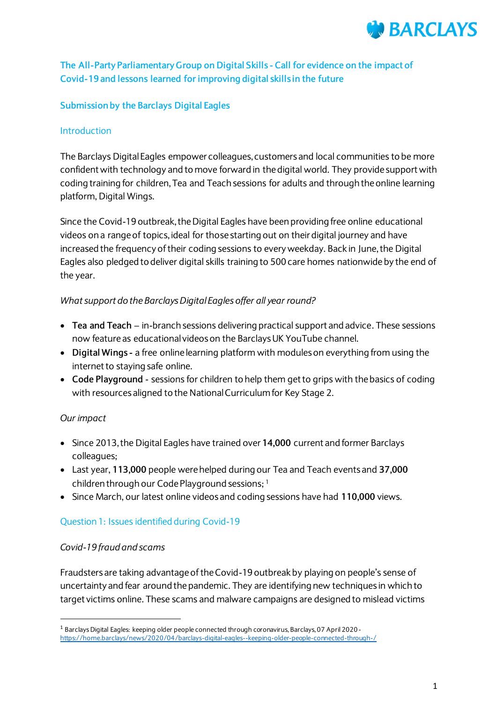

## **The All-Party Parliamentary Group on Digital Skills - Call for evidence on the impact of Covid-19 and lessons learned for improving digital skills in the future**

#### **Submissionby the Barclays Digital Eagles**

#### **Introduction**

The Barclays Digital Eagles empower colleagues, customers and local communities to be more confident with technology and to move forward in the digital world. They provide support with coding training for children, Tea and Teach sessions for adults and through the online learning platform, Digital Wings.

Since the Covid-19 outbreak, the Digital Eagles have been providing free online educational videos on a range of topics, ideal for those starting out on their digital journey and have increased the frequency of their coding sessions to every weekday. Back in June,the Digital Eagles also pledged to deliver digital skills training to 500 care homes nationwide by the end of the year.

#### *What support do the Barclays Digital Eagles offer all year round?*

- **Tea and Teach**  in-branch sessions delivering practical support and advice. These sessions now feature as educational videos on the Barclays UK YouTube channel.
- **Digital Wings -** a free online learning platform with modules on everything from using the internet to staying safe online.
- **Code Playground**  sessions for children to help them get to grips with the basics of coding with resources aligned to the National Curriculum for Key Stage 2.

## *Our impact*

 $\overline{a}$ 

- Since 2013, the Digital Eagles have trained over **14,000** current and former Barclays colleagues;
- Last year, **113,000** people were helped during our Tea and Teach events and **37,000** children through our Code Playground sessions; <sup>1</sup>
- Since March, our latest online videos and coding sessions have had **110,000** views.

## Question 1: Issues identified during Covid-19

#### *Covid-19 fraud and scams*

Fraudsters are taking advantage of the Covid-19 outbreak by playing on people's sense of uncertainty and fear around the pandemic. They are identifying new techniques in which to target victims online. These scams and malware campaigns are designed to mislead victims

<sup>1</sup> BarclaysDigital Eagles: keeping older people connected through coronavirus, Barclays, 07 April 2020 <https://home.barclays/news/2020/04/barclays-digital-eagles--keeping-older-people-connected-through-/>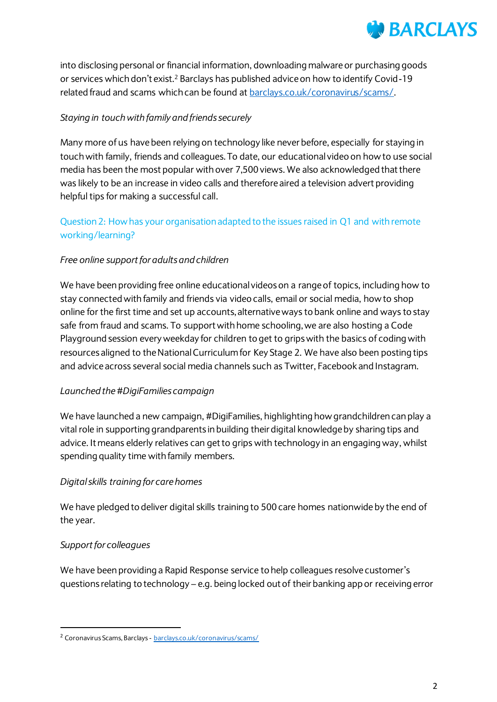# **BARCLAYS**

into disclosing personal or financial information, downloading malware or purchasing goods or services which don't exist.<sup>2</sup> Barclays has published advice on how to identify Covid-19 related fraud and scams which can be found at [barclays.co.uk/coronavirus/scams/](https://www.barclays.co.uk/coronavirus/scams/).

## *Staying in touch with family and friends securely*

Many more of us have been relying on technology like never before, especially for staying in touch with family, friends and colleagues. To date, our educational video on how to use social media has been the most popular with over 7,500 views. We also acknowledged that there was likely to be an increase in video calls and therefore aired a television advert providing helpful tips for making a successful call.

## Question 2: How has your organisation adapted to the issues raised in Q1 and with remote working/learning?

## *Free online support for adults and children*

We have been providing free online educational videos on a range of topics, including how to stay connectedwith family and friends via video calls, email or social media, how to shop online for the first time and set up accounts, alternative ways to bank online and ways to stay safe from fraud and scams. To support with home schooling, we are also hosting a Code Playground session every weekday for children to get to grips with the basics of coding with resources aligned to the National Curriculum for Key Stage 2. We have also been posting tips and advice across several social media channels such as Twitter, Facebook and Instagram.

## *Launched the #DigiFamilies campaign*

We have launched a new campaign, #DigiFamilies, highlighting how grandchildren can play a vital role in supporting grandparents in building their digital knowledge by sharing tips and advice. It means elderly relatives can get to grips with technology in an engaging way, whilst spending quality time with family members.

## *Digital skills training for care homes*

We have pledged to deliver digital skills training to 500 care homes nationwide by the end of the year.

## *Support for colleagues*

 $\overline{a}$ 

We have been providing a Rapid Response service to help colleagues resolve customer's questions relating to technology – e.g. being locked out of their banking app or receiving error

<sup>2</sup> Coronavirus Scams, Barclays - [barclays.co.uk/coronavirus/scams/](https://www.barclays.co.uk/coronavirus/scams/)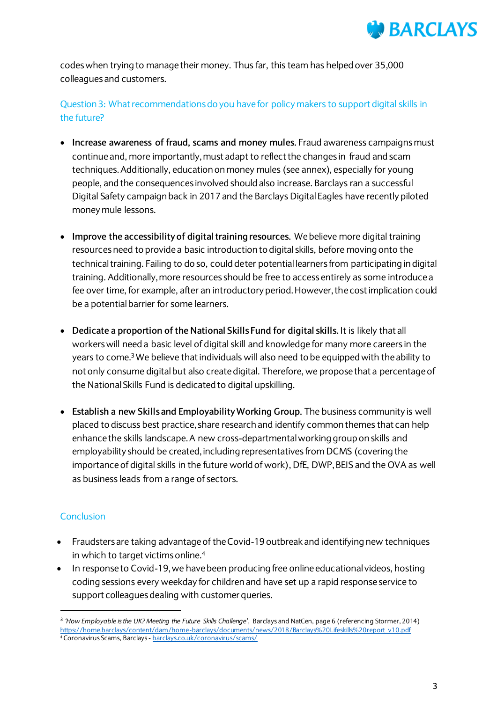

codes when trying to manage their money. Thus far, this team has helped over 35,000 colleagues and customers.

Question 3: What recommendations do you have for policy makers to support digital skills in the future?

- **Increase awareness of fraud, scams and money mules.** Fraud awareness campaigns must continue and, more importantly, must adapt to reflect the changes in fraud and scam techniques. Additionally, education on money mules (see annex), especially for young people, and the consequences involved should also increase. Barclays ran a successful Digital Safety campaign back in 2017 and the Barclays Digital Eagles have recently piloted money mule lessons.
- **Improve the accessibility of digital training resources.** We believe more digital training resourcesneed to provide a basic introduction to digital skills, before moving onto the technical training. Failing to do so, could deter potential learners from participating in digital training. Additionally, more resources should be free to access entirely as some introduce a fee over time, for example, after an introductory period. However, the cost implication could be a potential barrier for some learners.
- **Dedicate a proportion of the National Skills Fund for digital skills.** It is likely that all workers will need a basic level of digital skill and knowledge for many more careers in the years to come.3We believe that individuals will also need to be equipped with the ability to not only consume digital but also create digital. Therefore, we propose that a percentage of the National Skills Fund is dedicated to digital upskilling.
- **Establish a new Skills and Employability Working Group.** The business community is well placed to discuss best practice, share research and identify common themes that can help enhance the skills landscape. A new cross-departmental working group on skills and employability should be created, including representatives from DCMS (covering the importance of digital skills in the future world of work), DfE, DWP, BEIS and the OVA as well as business leads from a range of sectors.

#### **Conclusion**

 $\overline{a}$ 

- Fraudsters are taking advantage of the Covid-19 outbreak and identifying new techniques in which to target victims online.<sup>4</sup>
- In response to Covid-19, we have been producing free online educational videos, hosting coding sessions every weekday for children and have set up a rapid response service to support colleagues dealing with customer queries.

<sup>3</sup> *'How Employable is the UK? Meeting the Future Skills Challenge*', Barclays and NatCen, page 6 (referencing Stormer, 2014) [https://home.barclays/content/dam/home-barclays/documents/news/2018/Barclays%20Lifeskills%20report\\_v10.pdf](https://home.barclays/content/dam/home-barclays/documents/news/2018/Barclays%20Lifeskills%20report_v10.pdf) 4 Coronavirus Scams, Barclays - [barclays.co.uk/coronavirus/scams/](https://www.barclays.co.uk/coronavirus/scams/)